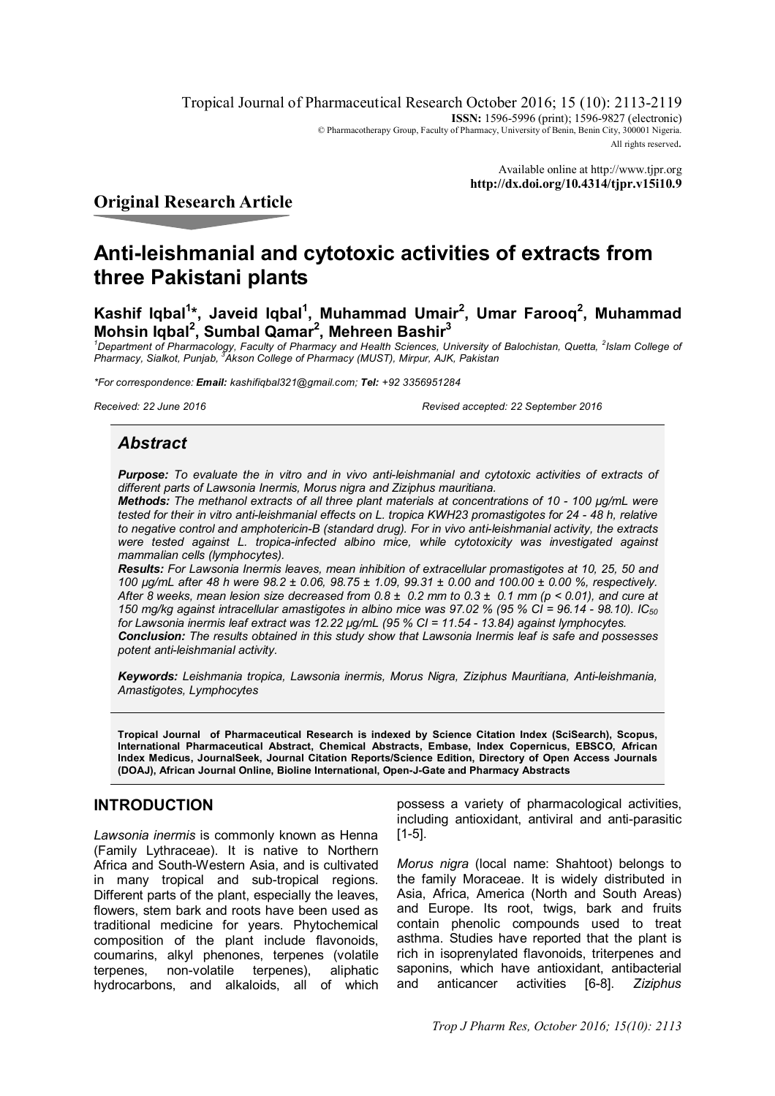Tropical Journal of Pharmaceutical Research October 2016; 15 (10): 2113-2119 **ISSN:** 1596-5996 (print); 1596-9827 (electronic) © Pharmacotherapy Group, Faculty of Pharmacy, University of Benin, Benin City, 300001 Nigeria. All rights reserved.

> Available online at <http://www.tjpr.org> **<http://dx.doi.org/10.4314/tjpr.v15i10.9>**

# **Original Research Article**

# **Anti-leishmanial and cytotoxic activities of extracts from three Pakistani plants**

**Kashif Iqbal<sup>1</sup> \*, Javeid Iqbal<sup>1</sup> , Muhammad Umair<sup>2</sup> , Umar Farooq<sup>2</sup> , Muhammad Mohsin Iqbal<sup>2</sup> , Sumbal Qamar<sup>2</sup> , Mehreen Bashir<sup>3</sup>**

<sup>1</sup>Department of Pharmacology, Faculty of Pharmacy and Health Sciences, University of Balochistan, Quetta, <sup>2</sup>Islam College of<br>Pharmacy, Sialkot, Punjab, <sup>3</sup>Akson College of Pharmacy (MUST), Mirpur, AJK, Pakistan

*\*For correspondence: Email: [kashifiqbal321@gmail.com;](mailto:kashifiqbal321@gmail.com;) Tel: +92 3356951284*

*Received: 22 June 2016 Revised accepted: 22 September 2016*

# *Abstract*

*Purpose: To evaluate the in vitro and in vivo anti-leishmanial and cytotoxic activities of extracts of different parts of Lawsonia Inermis, Morus nigra and Ziziphus mauritiana.*

*Methods: The methanol extracts of all three plant materials at concentrations of 10 - 100 µg/mL were tested for their in vitro anti-leishmanial effects on L. tropica KWH23 promastigotes for 24 - 48 h, relative to negative control and amphotericin-B (standard drug). For in vivo anti-leishmanial activity, the extracts were tested against L. tropica-infected albino mice, while cytotoxicity was investigated against mammalian cells (lymphocytes).*

*Results: For Lawsonia Inermis leaves, mean inhibition of extracellular promastigotes at 10, 25, 50 and 100 µg/mL after 48 h were 98.2 ± 0.06, 98.75 ± 1.09, 99.31 ± 0.00 and 100.00 ± 0.00 %, respectively. After 8 weeks, mean lesion size decreased from 0.8 ± 0.2 mm to 0.3 ± 0.1 mm (p < 0.01), and cure at 150 mg/kg against intracellular amastigotes in albino mice was 97.02 % (95 % CI = 96.14 - 98.10). IC<sup>50</sup> for Lawsonia inermis leaf extract was 12.22 µg/mL (95 % CI = 11.54 - 13.84) against lymphocytes. Conclusion: The results obtained in this study show that Lawsonia Inermis leaf is safe and possesses potent anti-leishmanial activity.*

*Keywords: Leishmania tropica, Lawsonia inermis, Morus Nigra, Ziziphus Mauritiana, Anti-leishmania, Amastigotes, Lymphocytes*

**Tropical Journal of Pharmaceutical Research is indexed by Science Citation Index (SciSearch), Scopus, International Pharmaceutical Abstract, Chemical Abstracts, Embase, Index Copernicus, EBSCO, African Index Medicus, JournalSeek, Journal Citation Reports/Science Edition, Directory of Open Access Journals (DOAJ), African Journal Online, Bioline International, Open-J-Gate and Pharmacy Abstracts**

# **INTRODUCTION**

*Lawsonia inermis* is commonly known as Henna (Family Lythraceae). It is native to Northern Africa and South-Western Asia, and is cultivated in many tropical and sub-tropical regions. Different parts of the plant, especially the leaves, flowers, stem bark and roots have been used as traditional medicine for years. Phytochemical composition of the plant include flavonoids, coumarins, alkyl phenones, terpenes (volatile terpenes, non-volatile terpenes), aliphatic hydrocarbons, and alkaloids, all of which

possess a variety of pharmacological activities, including antioxidant, antiviral and anti-parasitic [1-5].

*Morus nigra* (local name: Shahtoot) belongs to the family Moraceae. It is widely distributed in Asia, Africa, America (North and South Areas) and Europe. Its root, twigs, bark and fruits contain phenolic compounds used to treat asthma. Studies have reported that the plant is rich in isoprenylated flavonoids, triterpenes and saponins, which have antioxidant, antibacterial<br>and anticancer activities [6-8]. Ziziphus and anticancer activities [6-8]. *Ziziphus*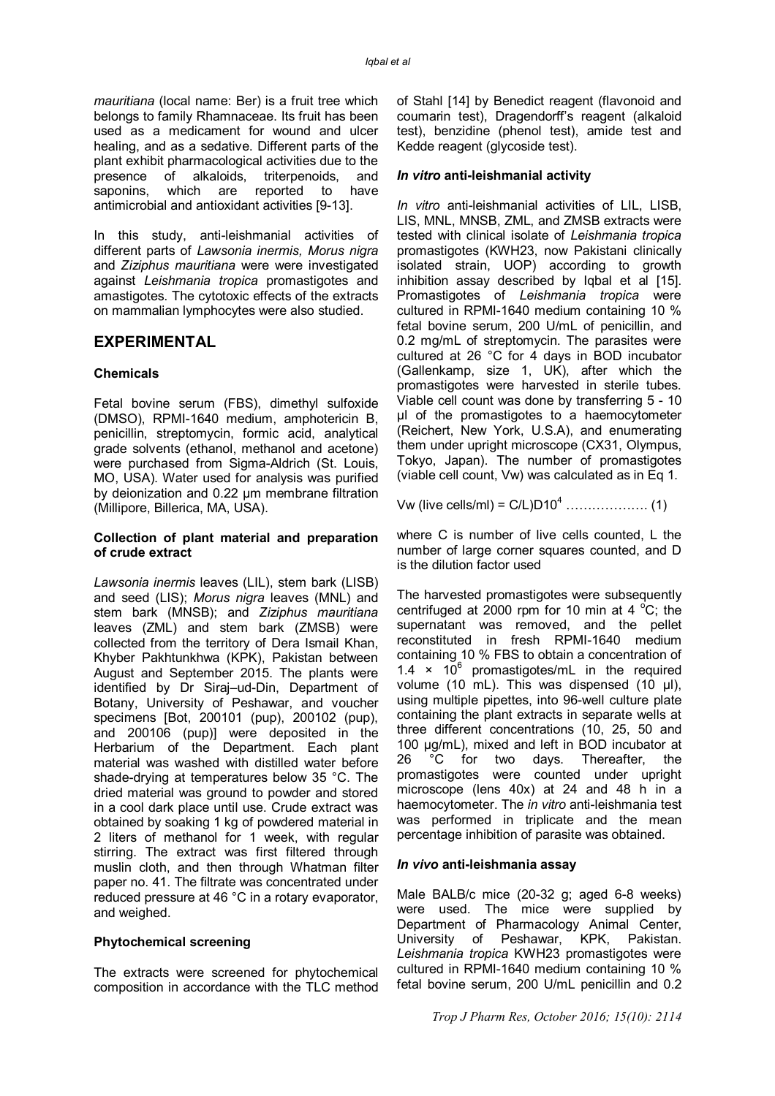*mauritiana* (local name: Ber) is a fruit tree which belongs to family Rhamnaceae. Its fruit has been used as a medicament for wound and ulcer healing, and as a sedative. Different parts of the plant exhibit pharmacological activities due to the presence of alkaloids, triterpenoids, and<br>saponins, which are reported to have which are reported to antimicrobial and antioxidant activities [9-13].

In this study, anti-leishmanial activities of different parts of *Lawsonia inermis, Morus nigra* and *Ziziphus mauritiana* were were investigated against *Leishmania tropica* promastigotes and amastigotes. The cytotoxic effects of the extracts on mammalian lymphocytes were also studied.

# **EXPERIMENTAL**

### **Chemicals**

Fetal bovine serum (FBS), dimethyl sulfoxide (DMSO), RPMI-1640 medium, amphotericin B, penicillin, streptomycin, formic acid, analytical grade solvents (ethanol, methanol and acetone) were purchased from Sigma-Aldrich (St. Louis, MO, USA). Water used for analysis was purified by deionization and 0.22 µm membrane filtration (Millipore, Billerica, MA, USA).

### **Collection of plant material and preparation of crude extract**

*Lawsonia inermis* leaves (LIL), stem bark (LISB) and seed (LIS); *Morus nigra* leaves (MNL) and stem bark (MNSB); and *Ziziphus mauritiana* leaves (ZML) and stem bark (ZMSB) were collected from the territory of Dera Ismail Khan, Khyber Pakhtunkhwa (KPK), Pakistan between August and September 2015. The plants were identified by Dr Siraj–ud-Din, Department of Botany, University of Peshawar, and voucher specimens [Bot, 200101 (pup), 200102 (pup), and 200106 (pup)] were deposited in the Herbarium of the Department. Each plant material was washed with distilled water before shade-drying at temperatures below 35 °C. The dried material was ground to powder and stored in a cool dark place until use. Crude extract was obtained by soaking 1 kg of powdered material in 2 liters of methanol for 1 week, with regular stirring. The extract was first filtered through muslin cloth, and then through Whatman filter paper no. 41. The filtrate was concentrated under reduced pressure at 46 °C in a rotary evaporator, and weighed.

### **Phytochemical screening**

The extracts were screened for phytochemical composition in accordance with the TLC method

of Stahl [14] by Benedict reagent (flavonoid and coumarin test), Dragendorff's reagent (alkaloid test), benzidine (phenol test), amide test and Kedde reagent (glycoside test).

### *In vitro* **anti-leishmanial activity**

*In vitro* anti-leishmanial activities of LIL, LISB, LIS, MNL, MNSB, ZML, and ZMSB extracts were tested with clinical isolate of *Leishmania tropica* promastigotes (KWH23, now Pakistani clinically isolated strain, UOP) according to growth inhibition assay described by lobal et al [15]. Promastigotes of *Leishmania tropica* were cultured in RPMI-1640 medium containing 10 % fetal bovine serum, 200 U/mL of penicillin, and 0.2 mg/mL of streptomycin. The parasites were cultured at 26 °C for 4 days in BOD incubator (Gallenkamp, size 1, UK), after which the promastigotes were harvested in sterile tubes. Viable cell count was done by transferring 5 - 10 µl of the promastigotes to a haemocytometer (Reichert, New York, U.S.A), and enumerating them under upright microscope (CX31, Olympus, Tokyo, Japan). The number of promastigotes (viable cell count, Vw) was calculated as in Eq 1.

Vw (live cells/ml) = C/L)D10<sup>4</sup> ………………. (1)

where C is number of live cells counted, L the number of large corner squares counted, and D is the dilution factor used

The harvested promastigotes were subsequently centrifuged at 2000 rpm for 10 min at 4  $^{\circ}$ C; the supernatant was removed, and the pellet reconstituted in fresh RPMI-1640 medium containing 10 % FBS to obtain a concentration of 1.4  $\times$  10<sup>6</sup> promastigotes/mL in the required volume (10 mL). This was dispensed (10 µl), using multiple pipettes, into 96-well culture plate containing the plant extracts in separate wells at three different concentrations (10, 25, 50 and 100 µg/mL), mixed and left in BOD incubator at 26 °C for two days. Thereafter, the promastigotes were counted under upright microscope (lens 40x) at 24 and 48 h in a haemocytometer. The *in vitro* anti-leishmania test was performed in triplicate and the mean percentage inhibition of parasite was obtained.

### *In vivo* **anti-leishmania assay**

Male BALB/c mice (20-32 g; aged 6-8 weeks) were used. The mice were supplied by Department of Pharmacology Animal Center, University of Peshawar, KPK, Pakistan. *Leishmania tropica* KWH23 promastigotes were cultured in RPMI-1640 medium containing 10 % fetal bovine serum, 200 U/mL penicillin and 0.2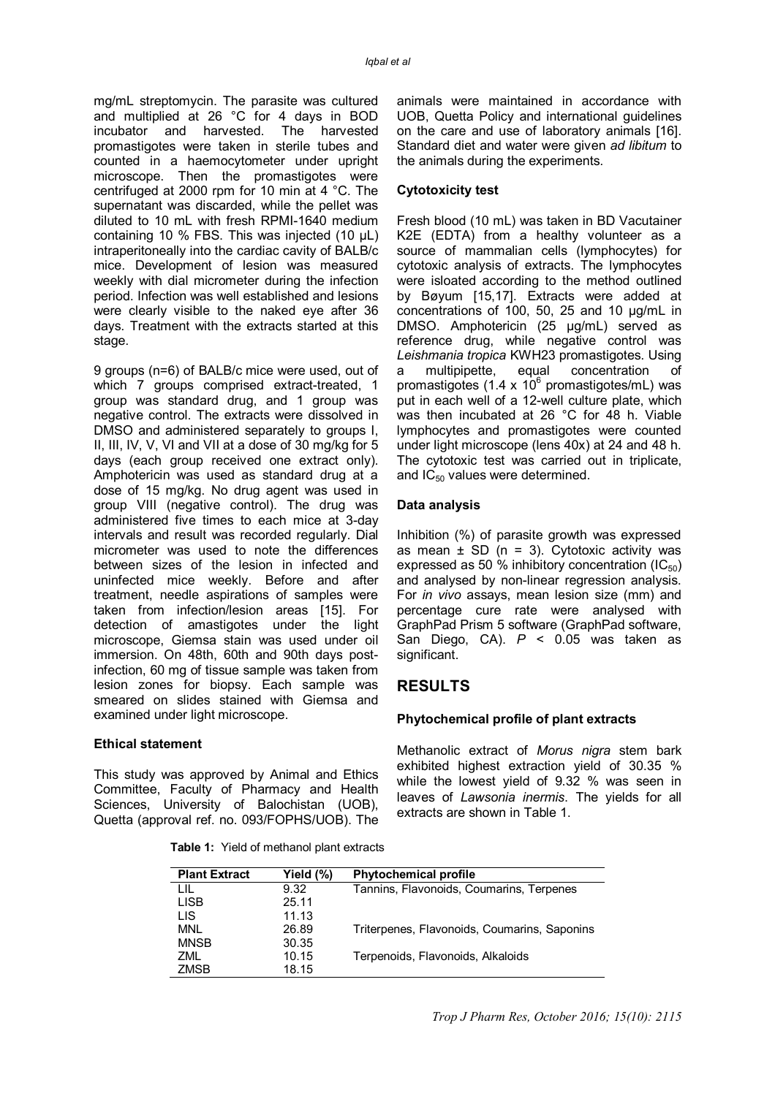mg/mL streptomycin. The parasite was cultured and multiplied at 26 °C for 4 days in BOD incubator and harvested. The harvested promastigotes were taken in sterile tubes and counted in a haemocytometer under upright microscope. Then the promastigotes were centrifuged at 2000 rpm for 10 min at 4 °C. The supernatant was discarded, while the pellet was diluted to 10 mL with fresh RPMI-1640 medium containing 10 % FBS. This was injected (10 µL) intraperitoneally into the cardiac cavity of BALB/c mice. Development of lesion was measured weekly with dial micrometer during the infection period. Infection was well established and lesions were clearly visible to the naked eye after 36 days. Treatment with the extracts started at this stage.

9 groups (n=6) of BALB/c mice were used, out of which 7 groups comprised extract-treated, 1 group was standard drug, and 1 group was negative control. The extracts were dissolved in DMSO and administered separately to groups I, II, III, IV, V, VI and VII at a dose of 30 mg/kg for 5 days (each group received one extract only). Amphotericin was used as standard drug at a dose of 15 mg/kg. No drug agent was used in group VIII (negative control). The drug was administered five times to each mice at 3-day intervals and result was recorded regularly. Dial micrometer was used to note the differences between sizes of the lesion in infected and uninfected mice weekly. Before and after treatment, needle aspirations of samples were taken from infection/lesion areas [15]. For detection of amastigotes under the light microscope, Giemsa stain was used under oil immersion. On 48th, 60th and 90th days postinfection, 60 mg of tissue sample was taken from lesion zones for biopsy. Each sample was smeared on slides stained with Giemsa and examined under light microscope.

### **Ethical statement**

This study was approved by Animal and Ethics Committee, Faculty of Pharmacy and Health Sciences, University of Balochistan (UOB), Quetta (approval ref. no. 093/FOPHS/UOB). The

**MNSB** 

ZML ZMSB

animals were maintained in accordance with UOB, Quetta Policy and international guidelines on the care and use of laboratory animals [16]. Standard diet and water were given *ad libitum* to the animals during the experiments.

### **Cytotoxicity test**

Fresh blood (10 mL) was taken in BD Vacutainer K2E (EDTA) from a healthy volunteer as a source of mammalian cells (lymphocytes) for cytotoxic analysis of extracts. The lymphocytes were isloated according to the method outlined by Bøyum [15,17]. Extracts were added at concentrations of 100, 50, 25 and 10 µg/mL in DMSO. Amphotericin (25 µg/mL) served as reference drug, while negative control was *Leishmania tropica* KWH23 promastigotes. Using a multipipette, equal concentration of promastigotes (1.4 x  $10^6$  promastigotes/mL) was put in each well of a 12-well culture plate, which was then incubated at 26 °C for 48 h. Viable lymphocytes and promastigotes were counted under light microscope (lens 40x) at 24 and 48 h. The cytotoxic test was carried out in triplicate, and  $IC_{50}$  values were determined.

### **Data analysis**

Inhibition (%) of parasite growth was expressed as mean  $\pm$  SD (n = 3). Cytotoxic activity was expressed as 50 % inhibitory concentration  $(IC_{50})$ and analysed by non-linear regression analysis. For *in vivo* assays, mean lesion size (mm) and percentage cure rate were analysed with GraphPad Prism 5 software (GraphPad software, San Diego, CA). *P* < 0.05 was taken as significant.

# **RESULTS**

Terpenoids, Flavonoids, Alkaloids

### **Phytochemical profile of plant extracts**

Methanolic extract of *Morus nigra* stem bark exhibited highest extraction yield of 30.35 % while the lowest vield of 9.32 % was seen in leaves of *Lawsonia inermis*. The yields for all extracts are shown in Table 1.

| <b>Plant Extract</b> | Yield (%) | <b>Phytochemical profile</b>                 |
|----------------------|-----------|----------------------------------------------|
| LIL                  | 9.32      | Tannins, Flavonoids, Coumarins, Terpenes     |
| <b>LISB</b>          | 25.11     |                                              |
| LIS                  | 11.13     |                                              |
| MNL                  | 26.89     | Triterpenes, Flavonoids, Coumarins, Saponins |

 **Table 1:** Yield of methanol plant extracts

30.35

10.15 18.15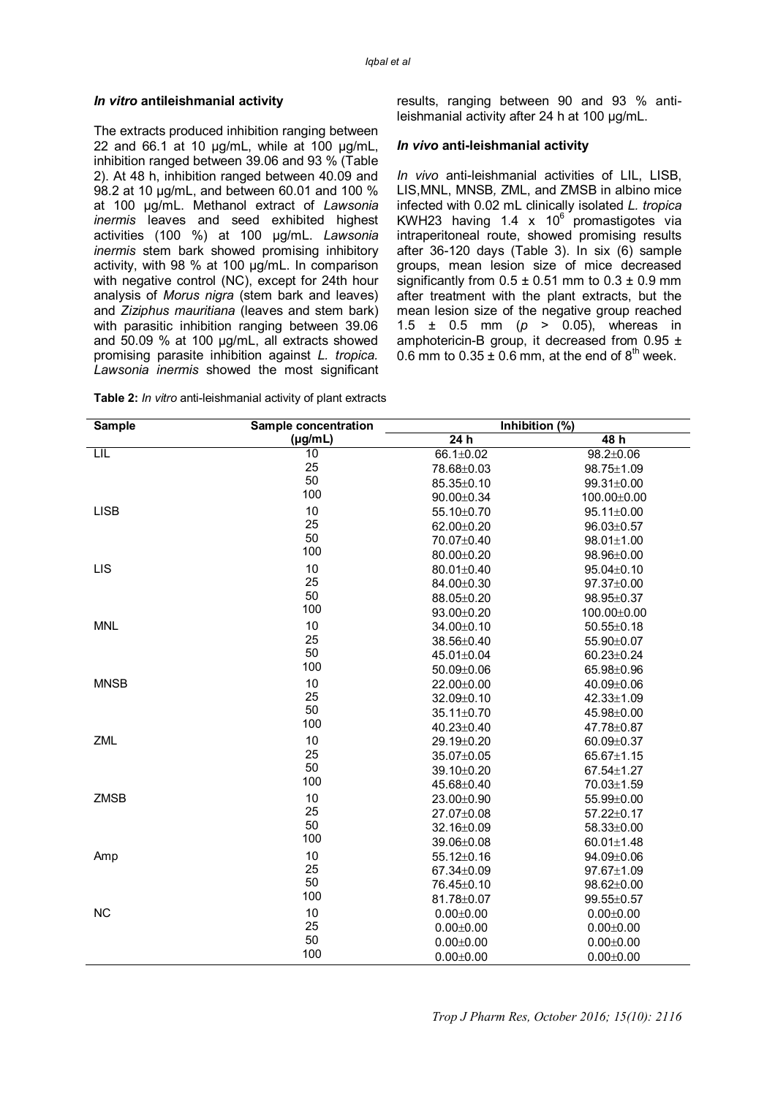#### *In vitro* **antileishmanial activity**

The extracts produced inhibition ranging between 22 and 66.1 at 10 µg/mL, while at 100 µg/mL, inhibition ranged between 39.06 and 93 % (Table 2). At 48 h, inhibition ranged between 40.09 and 98.2 at 10 µg/mL, and between 60.01 and 100 % at 100 µg/mL. Methanol extract of *Lawsonia inermis* leaves and seed exhibited highest activities (100 %) at 100 µg/mL. *Lawsonia inermis* stem bark showed promising inhibitory activity, with 98 % at 100 µg/mL. In comparison with negative control (NC), except for 24th hour analysis of *Morus nigra* (stem bark and leaves) and *Ziziphus mauritiana* (leaves and stem bark) with parasitic inhibition ranging between 39.06 and 50.09 % at 100 µg/mL, all extracts showed promising parasite inhibition against *L. tropica. Lawsonia inermis* showed the most significant

**Table 2:** *In vitro* anti-leishmanial activity of plant extracts

results, ranging between 90 and 93 % antileishmanial activity after 24 h at 100 µg/mL.

#### *In vivo* **anti-leishmanial activity**

*In vivo* anti-leishmanial activities of LIL, LISB, LIS,MNL, MNSB*,* ZML, and ZMSB in albino mice infected with 0.02 mL clinically isolated *L. tropica* KWH23 having 1.4 x  $10^6$  promastigotes via intraperitoneal route, showed promising results after 36-120 days (Table 3). In six (6) sample groups, mean lesion size of mice decreased significantly from  $0.5 \pm 0.51$  mm to  $0.3 \pm 0.9$  mm after treatment with the plant extracts, but the mean lesion size of the negative group reached 1.5 ± 0.5 mm (*p* > 0.05), whereas in amphotericin-B group, it decreased from 0.95 ± 0.6 mm to  $0.35 \pm 0.6$  mm, at the end of  $8<sup>th</sup>$  week.

| Sample      | Sample concentration | Inhibition (%)   |                  |
|-------------|----------------------|------------------|------------------|
|             | $(\mu g/mL)$         | 24h              | 48h              |
| LIL         | 10                   | 66.1±0.02        | $98.2 \pm 0.06$  |
|             | 25                   | 78.68±0.03       | $98.75 \pm 1.09$ |
|             | 50                   | $85.35 \pm 0.10$ | $99.31 \pm 0.00$ |
|             | 100                  | $90.00 \pm 0.34$ | 100.00±0.00      |
| <b>LISB</b> | 10                   | 55.10±0.70       | 95.11±0.00       |
|             | 25                   | 62.00±0.20       | 96.03±0.57       |
|             | 50                   | 70.07±0.40       | $98.01 \pm 1.00$ |
|             | 100                  | 80.00±0.20       | 98.96±0.00       |
| <b>LIS</b>  | 10                   | 80.01±0.40       | $95.04 \pm 0.10$ |
|             | 25                   | 84.00±0.30       | $97.37 \pm 0.00$ |
|             | 50                   | 88.05±0.20       | $98.95 \pm 0.37$ |
|             | 100                  | 93.00±0.20       | 100.00±0.00      |
| <b>MNL</b>  | 10                   | 34.00±0.10       | $50.55 \pm 0.18$ |
|             | 25                   | 38.56±0.40       | 55.90±0.07       |
|             | 50                   | 45.01±0.04       | $60.23 \pm 0.24$ |
|             | 100                  | $50.09 \pm 0.06$ | 65.98±0.96       |
| <b>MNSB</b> | 10                   | 22.00±0.00       | 40.09±0.06       |
|             | 25                   | $32.09 \pm 0.10$ | 42.33±1.09       |
|             | 50                   | $35.11 \pm 0.70$ | 45.98±0.00       |
|             | 100                  | 40.23±0.40       | 47.78±0.87       |
| ZML         | 10                   | 29.19±0.20       | $60.09 \pm 0.37$ |
|             | 25                   | 35.07±0.05       | $65.67 \pm 1.15$ |
|             | 50                   | $39.10 \pm 0.20$ | $67.54 \pm 1.27$ |
|             | 100                  | 45.68±0.40       | 70.03±1.59       |
| <b>ZMSB</b> | 10                   | 23.00±0.90       | $55.99 \pm 0.00$ |
|             | 25                   | 27.07±0.08       | 57.22±0.17       |
|             | 50                   | 32.16±0.09       | 58.33±0.00       |
|             | 100                  | 39.06±0.08       | $60.01 \pm 1.48$ |
| Amp         | 10                   | $55.12 \pm 0.16$ | 94.09±0.06       |
|             | 25                   | 67.34±0.09       | 97.67±1.09       |
|             | 50                   | 76.45±0.10       | 98.62±0.00       |
|             | 100                  | 81.78±0.07       | 99.55±0.57       |
| <b>NC</b>   | 10                   | $0.00 \pm 0.00$  | $0.00 \pm 0.00$  |
|             | 25                   | $0.00 \pm 0.00$  | $0.00 \pm 0.00$  |
|             | 50                   | $0.00 \pm 0.00$  | $0.00 \pm 0.00$  |
|             | 100                  | $0.00 \pm 0.00$  | $0.00 \pm 0.00$  |
|             |                      |                  |                  |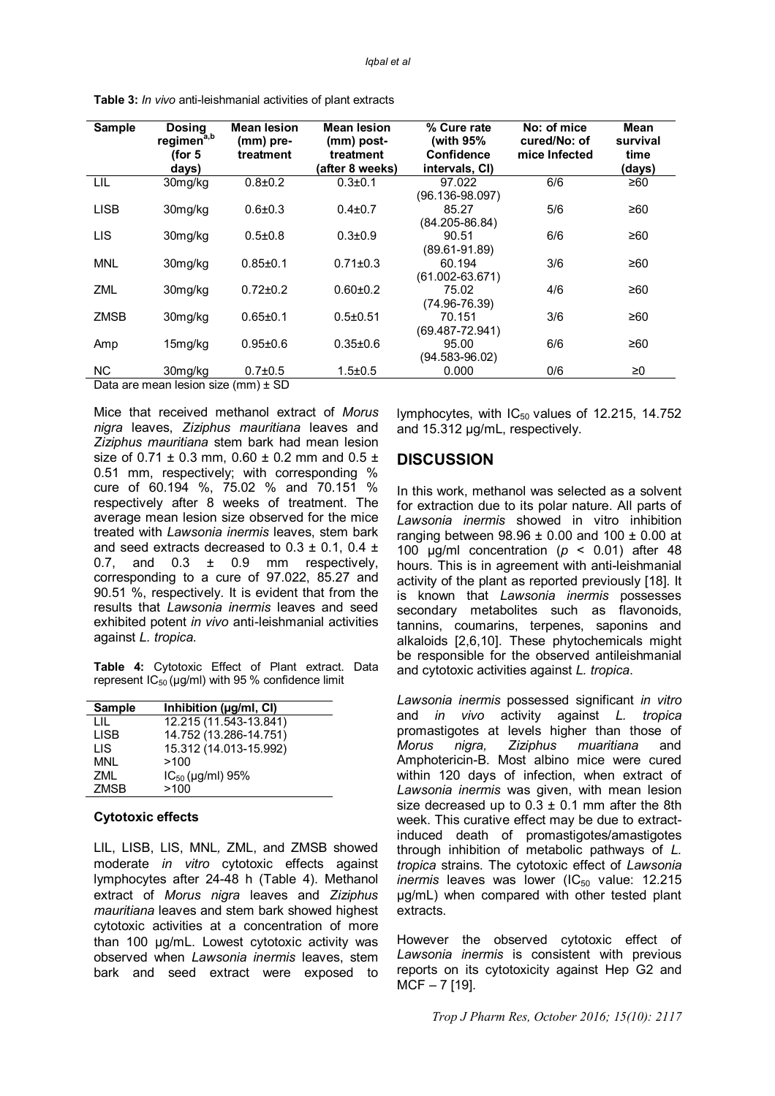| Sample      | <b>Dosing</b><br>regimen <sup>a,b</sup><br>(for 5<br>days) | <b>Mean lesion</b><br>(mm) pre-<br>treatment | <b>Mean lesion</b><br>(mm) post-<br>treatment<br>(after 8 weeks) | % Cure rate<br>(with 95%<br>Confidence<br>intervals, CI) | No: of mice<br>cured/No: of<br>mice Infected | Mean<br>survival<br>time<br>(days) |
|-------------|------------------------------------------------------------|----------------------------------------------|------------------------------------------------------------------|----------------------------------------------------------|----------------------------------------------|------------------------------------|
| LIL         | 30mg/kg                                                    | $0.8 + 0.2$                                  | $0.3 + 0.1$                                                      | 97.022<br>$(96.136 - 98.097)$                            | 6/6                                          | ≥60                                |
| <b>LISB</b> | 30mg/kg                                                    | $0.6 + 0.3$                                  | $0.4 + 0.7$                                                      | 85.27<br>$(84.205 - 86.84)$                              | 5/6                                          | ≥60                                |
| LIS         | 30mg/kg                                                    | $0.5 + 0.8$                                  | $0.3 + 0.9$                                                      | 90.51<br>$(89.61 - 91.89)$                               | 6/6                                          | ≥60                                |
| <b>MNL</b>  | 30mg/kg                                                    | $0.85 \pm 0.1$                               | $0.71 \pm 0.3$                                                   | 60.194<br>$(61.002 - 63.671)$                            | 3/6                                          | ≥60                                |
| <b>ZML</b>  | 30mg/kg                                                    | $0.72 \pm 0.2$                               | $0.60 + 0.2$                                                     | 75.02<br>(74.96-76.39)                                   | 4/6                                          | ≥60                                |
| <b>ZMSB</b> | 30mg/kg                                                    | $0.65 \pm 0.1$                               | $0.5 + 0.51$                                                     | 70.151<br>$(69.487 - 72.941)$                            | 3/6                                          | ≥60                                |
| Amp         | 15mg/kg                                                    | $0.95 + 0.6$                                 | $0.35 + 0.6$                                                     | 95.00<br>(94.583-96.02)                                  | 6/6                                          | ≥60                                |
| NC.         | 30mg/kg                                                    | $0.7 + 0.5$                                  | $1.5 \pm 0.5$                                                    | 0.000                                                    | 0/6                                          | ≥0                                 |

**Table 3:** *In vivo* anti-leishmanial activities of plant extracts

Data are mean lesion size (mm) ± SD

Mice that received methanol extract of *Morus nigra* leaves, *Ziziphus mauritiana* leaves and *Ziziphus mauritiana* stem bark had mean lesion size of  $0.71 \pm 0.3$  mm,  $0.60 \pm 0.2$  mm and  $0.5 \pm 0.3$ 0.51 mm, respectively; with corresponding % cure of 60.194 %, 75.02 % and 70.151 % respectively after 8 weeks of treatment. The average mean lesion size observed for the mice treated with *Lawsonia inermis* leaves, stem bark and seed extracts decreased to  $0.3 \pm 0.1$ ,  $0.4 \pm 0.1$ 0.7, and  $0.3 \pm 0.9$  mm respectively, corresponding to a cure of 97.022, 85.27 and 90.51 %, respectively. It is evident that from the results that *Lawsonia inermis* leaves and seed exhibited potent *in vivo* anti-leishmanial activities against *L. tropica.*

**Table 4:** Cytotoxic Effect of Plant extract. Data represent  $IC_{50}$  (µg/ml) with 95 % confidence limit

| <b>Sample</b> | Inhibition (µg/ml, Cl) |
|---------------|------------------------|
| LШ            | 12.215 (11.543-13.841) |
| LISB          | 14.752 (13.286-14.751) |
| LIS.          | 15.312 (14.013-15.992) |
| MNI           | >100                   |
| 7MI.          | $IC_{50}$ (µg/ml) 95%  |
| <b>ZMSB</b>   | >100                   |

#### **Cytotoxic effects**

LIL, LISB, LIS, MNL*,* ZML, and ZMSB showed moderate *in vitro* cytotoxic effects against lymphocytes after 24-48 h (Table 4). Methanol extract of *Morus nigra* leaves and *Ziziphus mauritiana* leaves and stem bark showed highest cytotoxic activities at a concentration of more than 100 µg/mL. Lowest cytotoxic activity was observed when *Lawsonia inermis* leaves, stem bark and seed extract were exposed to

lymphocytes, with  $IC_{50}$  values of 12.215, 14.752 and 15.312 µg/mL, respectively.

### **DISCUSSION**

In this work, methanol was selected as a solvent for extraction due to its polar nature. All parts of *Lawsonia inermis* showed in vitro inhibition ranging between  $98.96 \pm 0.00$  and  $100 \pm 0.00$  at 100 µg/ml concentration (*p* < 0.01) after 48 hours. This is in agreement with anti-leishmanial activity of the plant as reported previously [18]. It is known that *Lawsonia inermis* possesses secondary metabolites such as flavonoids, tannins, coumarins, terpenes, saponins and alkaloids [2,6,10]. These phytochemicals might be responsible for the observed antileishmanial and cytotoxic activities against *L. tropica*.

*Lawsonia inermis* possessed significant *in vitro* and *in vivo* activity against *L. tropica* promastigotes at levels higher than those of *Morus nigra, Ziziphus muaritiana* and Amphotericin-B. Most albino mice were cured within 120 days of infection, when extract of *Lawsonia inermis* was given, with mean lesion size decreased up to  $0.3 \pm 0.1$  mm after the 8th week. This curative effect may be due to extractinduced death of promastigotes/amastigotes through inhibition of metabolic pathways of *L. tropica* strains. The cytotoxic effect of *Lawsonia inermis* leaves was lower (IC<sub>50</sub> value: 12.215 µg/mL) when compared with other tested plant extracts.

However the observed cytotoxic effect of *Lawsonia inermis* is consistent with previous reports on its cytotoxicity against Hep G2 and MCF – 7 [19].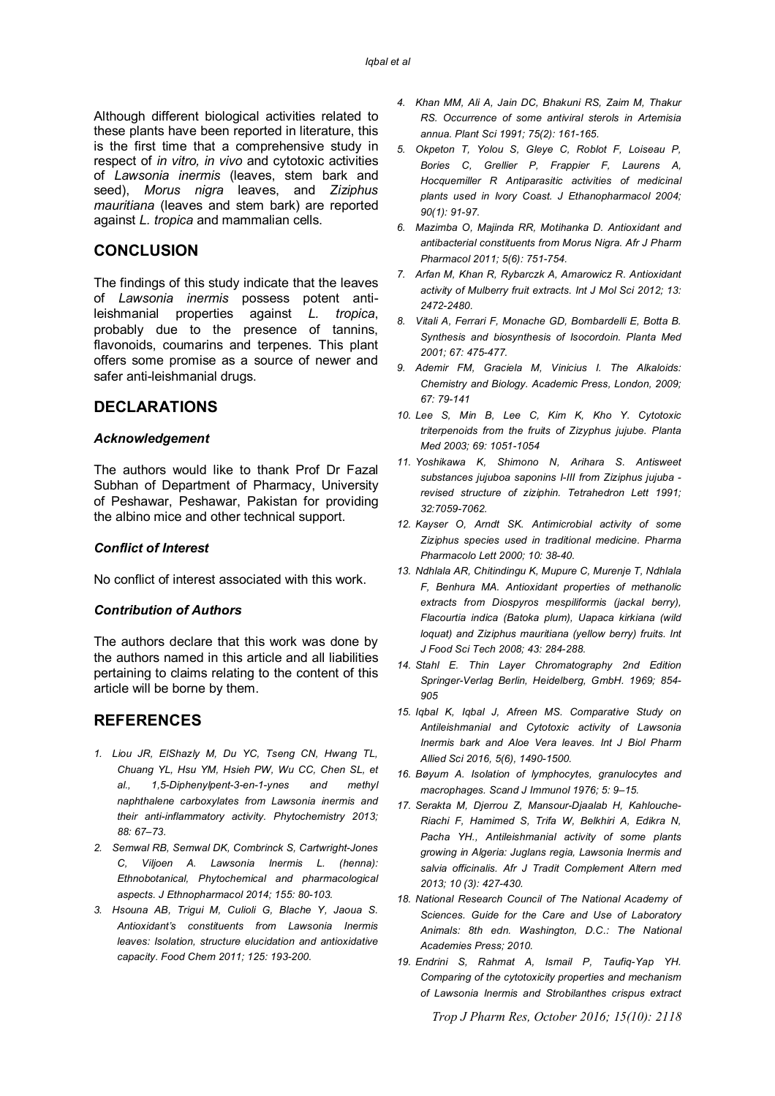Although different biological activities related to these plants have been reported in literature, this is the first time that a comprehensive study in respect of *in vitro, in vivo* and cytotoxic activities of *Lawsonia inermis* (leaves, stem bark and seed), *Morus nigra* leaves, and *Ziziphus mauritiana* (leaves and stem bark) are reported against *L. tropica* and mammalian cells.

# **CONCLUSION**

The findings of this study indicate that the leaves of *Lawsonia inermis* possess potent antileishmanial properties against *L. tropica*, probably due to the presence of tannins, flavonoids, coumarins and terpenes. This plant offers some promise as a source of newer and safer anti-leishmanial drugs.

### **DECLARATIONS**

### *Acknowledgement*

The authors would like to thank Prof Dr Fazal Subhan of Department of Pharmacy, University of Peshawar, Peshawar, Pakistan for providing the albino mice and other technical support.

#### *Conflict of Interest*

No conflict of interest associated with this work.

#### *Contribution of Authors*

The authors declare that this work was done by the authors named in this article and all liabilities pertaining to claims relating to the content of this article will be borne by them.

# **REFERENCES**

- *1. Liou JR, ElShazly M, Du YC, Tseng CN, Hwang TL, Chuang YL, Hsu YM, Hsieh PW, Wu CC, Chen SL, et al., 1,5-Diphenylpent-3-en-1-ynes and methyl naphthalene carboxylates from Lawsonia inermis and their anti-inflammatory activity. Phytochemistry 2013; 88: 67–73.*
- *2. Semwal RB, Semwal DK, Combrinck S, Cartwright-Jones C, Viljoen A. Lawsonia Inermis L. (henna): Ethnobotanical, Phytochemical and pharmacological aspects. J Ethnopharmacol 2014; 155: 80-103.*
- *3. Hsouna AB, Trigui M, Culioli G, Blache Y, Jaoua S. Antioxidant's constituents from Lawsonia Inermis leaves: Isolation, structure elucidation and antioxidative capacity. Food Chem 2011; 125: 193-200.*
- *4. Khan MM, Ali A, Jain DC, Bhakuni RS, Zaim M, Thakur RS. Occurrence of some antiviral sterols in Artemisia annua. Plant Sci 1991; 75(2): 161-165.*
- *5. Okpeton T, Yolou S, Gleye C, Roblot F, Loiseau P, Bories C, Grellier P, Frappier F, Laurens A, Hocquemiller R Antiparasitic activities of medicinal plants used in Ivory Coast. J Ethanopharmacol 2004; 90(1): 91-97.*
- *6. Mazimba O, Majinda RR, Motihanka D. Antioxidant and antibacterial constituents from Morus Nigra. Afr J Pharm Pharmacol 2011; 5(6): 751-754.*
- *7. Arfan M, Khan R, Rybarczk A, Amarowicz R. Antioxidant activity of Mulberry fruit extracts. Int J Mol Sci 2012; 13: 2472-2480.*
- *8. Vitali A, Ferrari F, Monache GD, Bombardelli E, Botta B. Synthesis and biosynthesis of Isocordoin. Planta Med 2001; 67: 475-477.*
- *9. Ademir FM, Graciela M, Vinicius I. The Alkaloids: Chemistry and Biology. Academic Press, London, 2009; 67: 79-141*
- *10. Lee S, Min B, Lee C, Kim K, Kho Y. Cytotoxic triterpenoids from the fruits of Zizyphus jujube. Planta Med 2003; 69: 1051-1054*
- *11. Yoshikawa K, Shimono N, Arihara S. Antisweet substances jujuboa saponins I-III from Ziziphus jujuba revised structure of ziziphin. Tetrahedron Lett 1991; 32:7059-7062.*
- *12. Kayser O, Arndt SK. Antimicrobial activity of some Ziziphus species used in traditional medicine. Pharma Pharmacolo Lett 2000; 10: 38-40.*
- *13. Ndhlala AR, Chitindingu K, Mupure C, Murenje T, Ndhlala F, Benhura MA. Antioxidant properties of methanolic extracts from Diospyros mespiliformis (jackal berry), Flacourtia indica (Batoka plum), Uapaca kirkiana (wild loquat) and Ziziphus mauritiana (yellow berry) fruits. Int J Food Sci Tech 2008; 43: 284-288.*
- *14. Stahl E. Thin Layer Chromatography 2nd Edition Springer-Verlag Berlin, Heidelberg, GmbH. 1969; 854- 905*
- *15. Iqbal K, Iqbal J, Afreen MS. Comparative Study on Antileishmanial and Cytotoxic activity of Lawsonia Inermis bark and Aloe Vera leaves. Int J Biol Pharm Allied Sci 2016, 5(6), 1490-1500.*
- *16. Bøyum A. Isolation of lymphocytes, granulocytes and macrophages. Scand J Immunol 1976; 5: 9–15.*
- *17. Serakta M, Djerrou Z, Mansour-Djaalab H, Kahlouche-Riachi F, Hamimed S, Trifa W, Belkhiri A, Edikra N, Pacha YH., Antileishmanial activity of some plants growing in Algeria: Juglans regia, Lawsonia Inermis and salvia officinalis. Afr J Tradit Complement Altern med 2013; 10 (3): 427-430.*
- *18. National Research Council of The National Academy of Sciences. Guide for the Care and Use of Laboratory Animals: 8th edn. Washington, D.C.: The National Academies Press; 2010.*
- *19. Endrini S, Rahmat A, Ismail P, Taufiq-Yap YH. Comparing of the cytotoxicity properties and mechanism of Lawsonia Inermis and Strobilanthes crispus extract*

*Trop J Pharm Res, October 2016; 15(10): 2118*